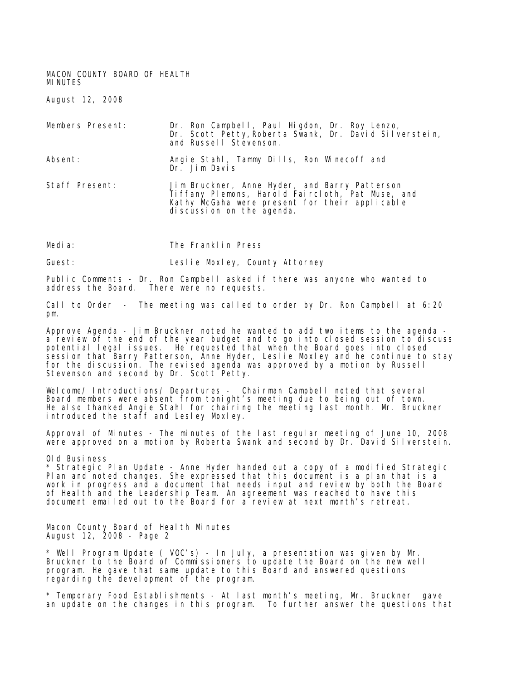MACON COUNTY BOARD OF HEALTH MINUTES

August 12, 2008

| Members Present: | Dr. Ron Campbell, Paul Higdon, Dr. Roy Lenzo,<br>Dr. Scott Petty, Roberta Swank, Dr. David Silverstein,<br>and Russell Stevenson.                                                  |
|------------------|------------------------------------------------------------------------------------------------------------------------------------------------------------------------------------|
| Absent:          | Angie Stahl, Tammy Dills, Ron Winecoff and<br>Dr. Jim Davis                                                                                                                        |
| Staff Present:   | Jim Bruckner, Anne Hyder, and Barry Patterson<br>Ti ffany Plemons, Harold Faircloth, Pat Muse, and<br>Kathy McGaha were present for their applicable<br>di scussion on the agenda. |

Media: The Franklin Press

Guest: Leslie Moxley, County Attorney

Public Comments - Dr. Ron Campbell asked if there was anyone who wanted to address the Board. There were no requests.

Call to Order - The meeting was called to order by Dr. Ron Campbell at 6:20 pm.

Approve Agenda - Jim Bruckner noted he wanted to add two items to the agenda a review of the end of the year budget and to go into closed session to discuss potential legal issues. He requested that when the Board goes into closed session that Barry Patterson, Anne Hyder, Leslie Moxley and he continue to stay for the discussion. The revised agenda was approved by a motion by Russell Stevenson and second by Dr. Scott Petty.

Welcome/ Introductions/ Departures - Chairman Campbell noted that several Board members were absent from tonight's meeting due to being out of town. He also thanked Angie Stahl for chairing the meeting last month. Mr. Bruckner introduced the staff and Lesley Moxley.

Approval of Minutes - The minutes of the last regular meeting of June 10, 2008 were approved on a motion by Roberta Swank and second by Dr. David Silverstein.

Old Business

\* Strategic Plan Update - Anne Hyder handed out a copy of a modified Strategic Plan and noted changes. She expressed that this document is a plan that is a work in progress and a document that needs input and review by both the Board of Health and the Leadership Team. An agreement was reached to have this document emailed out to the Board for a review at next month's retreat.

Macon County Board of Health Minutes August 12, 2008 - Page 2

\* Well Program Update ( VOC's) - In July, a presentation was given by Mr. Bruckner to the Board of Commissioners to update the Board on the new well program. He gave that same update to this Board and answered questions regarding the development of the program.

\* Temporary Food Establishments - At last month's meeting, Mr. Bruckner gave an update on the changes in this program. To further answer the questions that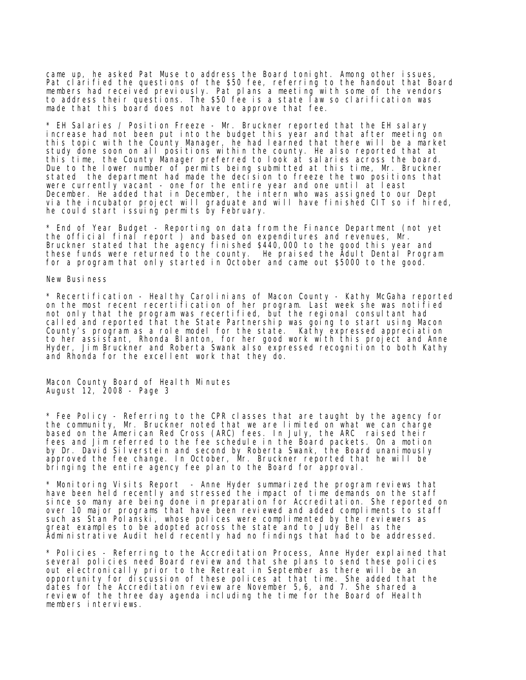came up, he asked Pat Muse to address the Board tonight. Among other issues, Pat clarified the questions of the \$50 fee, referring to the handout that Board members had received previously. Pat plans a meeting with some of the vendors to address their questions. The \$50 fee is a state law so clarification was made that this board does not have to approve that fee.

\* EH Salaries / Position Freeze - Mr. Bruckner reported that the EH salary increase had not been put into the budget this year and that after meeting on this topic with the County Manager, he had learned that there will be a market study done soon on all positions within the county. He also reported that at this time, the County Manager preferred to look at salaries across the board. Due to the lower number of permits being submitted at this time, Mr. Bruckner stated the department had made the decision to freeze the two positions that were currently vacant - one for the entire year and one until at least December. He added that in December, the intern who was assigned to our Dept via the incubator project will graduate and will have finished CIT so if hired, he could start issuing permits by February.

\* End of Year Budget - Reporting on data from the Finance Department (not yet the official final report ) and based on expenditures and revenues, Mr. Bruckner stated that the agency finished \$440,000 to the good this year and these funds were returned to the county. He praised the Adult Dental Program for a program that only started in October and came out \$5000 to the good.

New Business

\* Recertification - Healthy Carolinians of Macon County - Kathy McGaha reported on the most recent recertification of her program. Last week she was notified not only that the program was recertified, but the regional consultant had called and reported that the State Partnership was going to start using Macon County's program as a role model for the state. Kathy expressed appreciation to her assistant, Rhonda Blanton, for her good work with this project and Anne Hyder, Jim Bruckner and Roberta Swank also expressed recognition to both Kathy and Rhonda for the excellent work that they do.

Macon County Board of Health Minutes August 12, 2008 - Page 3

\* Fee Policy - Referring to the CPR classes that are taught by the agency for the community, Mr. Bruckner noted that we are limited on what we can charge based on the American Red Cross (ARC) fees. In July, the ARC raised their fees and Jim referred to the fee schedule in the Board packets. On a motion by Dr. David Silverstein and second by Roberta Swank, the Board unanimously approved the fee change. In October, Mr. Bruckner reported that he will be bringing the entire agency fee plan to the Board for approval.

\* Monitoring Visits Report - Anne Hyder summarized the program reviews that have been held recently and stressed the impact of time demands on the staff since so many are being done in preparation for Accreditation. She reported on over 10 major programs that have been reviewed and added compliments to staff such as Stan Polanski, whose polices were complimented by the reviewers as great examples to be adopted across the state and to Judy Bell as the Administrative Audit held recently had no findings that had to be addressed.

\* Policies - Referring to the Accreditation Process, Anne Hyder explained that several policies need Board review and that she plans to send these policies out electronically prior to the Retreat in September as there will be an opportunity for discussion of these polices at that time. She added that the dates for the Accreditation review are November 5,6, and 7. She shared a review of the three day agenda including the time for the Board of Health members interviews.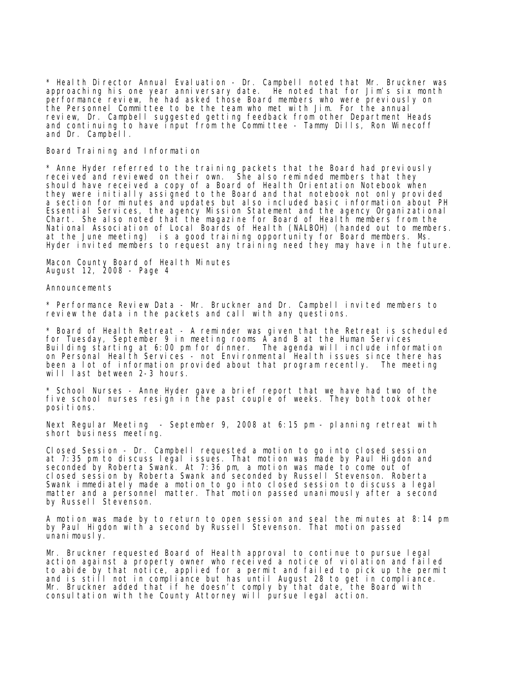\* Health Director Annual Evaluation - Dr. Campbell noted that Mr. Bruckner was approaching his one year anniversary date. He noted that for Jim's six month performance review, he had asked those Board members who were previously on the Personnel Committee to be the team who met with Jim. For the annual review, Dr. Campbell suggested getting feedback from other Department Heads and continuing to have input from the Committee - Tammy Dills, Ron Winecoff and Dr. Campbell.

## Board Training and Information

\* Anne Hyder referred to the training packets that the Board had previously received and reviewed on their own. She also reminded members that they should have received a copy of a Board of Health Orientation Notebook when they were initially assigned to the Board and that notebook not only provided a section for minutes and updates but also included basic information about PH Essential Services, the agency Mission Statement and the agency Organizational Chart. She also noted that the magazine for Board of Health members from the National Association of Local Boards of Health (NALBOH) (handed out to members. at the June meeting) is a good training opportunity for Board members. Ms. Hyder invited members to request any training need they may have in the future.

Macon County Board of Health Minutes August 12, 2008 - Page 4

## Announcements

\* Performance Review Data - Mr. Bruckner and Dr. Campbell invited members to review the data in the packets and call with any questions.

\* Board of Health Retreat - A reminder was given that the Retreat is scheduled for Tuesday, September 9 in meeting rooms A and B at the Human Services Building starting at 6:00 pm for dinner. The agenda will include information on Personal Health Services - not Environmental Health issues since there has been a lot of information provided about that program recently. The meeting will last between 2-3 hours.

\* School Nurses - Anne Hyder gave a brief report that we have had two of the five school nurses resign in the past couple of weeks. They both took other positions.

Next Regular Meeting - September 9, 2008 at 6:15 pm - planning retreat with short business meeting.

Closed Session - Dr. Campbell requested a motion to go into closed session at 7:35 pm to discuss legal issues. That motion was made by Paul Higdon and seconded by Roberta Swank. At 7:36 pm, a motion was made to come out of closed session by Roberta Swank and seconded by Russell Stevenson. Roberta Swank immediately made a motion to go into closed session to discuss a legal matter and a personnel matter. That motion passed unanimously after a second by Russell Stevenson.

A motion was made by to return to open session and seal the minutes at 8:14 pm by Paul Higdon with a second by Russell Stevenson. That motion passed unanimously.

Mr. Bruckner requested Board of Health approval to continue to pursue legal action against a property owner who received a notice of violation and failed to abide by that notice, applied for a permit and failed to pick up the permit and is still not in compliance but has until August 28 to get in compliance. Mr. Bruckner added that if he doesn't comply by that date, the Board with consultation with the County Attorney will pursue legal action.